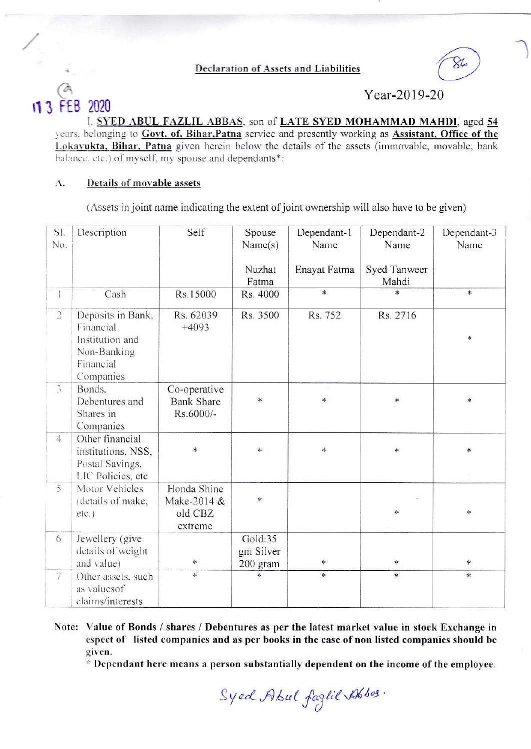**Declaration of Assets and Liabilities** 



Year-2019-20

I, SYED ABUL FAZLIL ABBAS, son of LATE SYED MOHAMMAD MAHDI, aged 54 years, belonging to Govt. of, Bihar, Patna service and presently working as Assistant, Office of the Lokavukta, Bihar, Patna given herein below the details of the assets (immovable, movable, bank balance. etc.) of myself, my spouse and dependants\*:

## **Details of movable assets** A.

FFB

2020

(Assets in joint name indicating the extent of joint ownership will also have to be given)

| Sl.<br>No.      | Description                                                                   | Self                                             | Spouse<br>Name(s)                | Dependant-1<br>Name | Dependant-2<br>Name   | Dependant-3<br>Name |
|-----------------|-------------------------------------------------------------------------------|--------------------------------------------------|----------------------------------|---------------------|-----------------------|---------------------|
|                 |                                                                               |                                                  | Nuzhat<br>Fatma                  | Enayat Fatma        | Syed Tanweer<br>Mahdi |                     |
| $\mathbf{I}$    | Cash                                                                          | Rs.15000                                         | Rs. 4000                         | $\ast$              | ×                     | $\ast$              |
| $\overline{2}$  | Deposits in Bank,<br>Financial<br>Institution and                             | Rs. 62039<br>$+4093$                             | Rs. 3500                         | Rs. 752             | Rs. 2716              | $\ast$              |
|                 | Non-Banking<br>Financial<br>Companies                                         |                                                  |                                  |                     |                       |                     |
| $\hat{A}$       | Bonds.<br>Debentures and<br>Shares in<br>Companies                            | Co-operative<br><b>Bank Share</b><br>Rs.6000/-   | $\ast$                           | $\ast$              | $\ast$                | $*$                 |
| $\overline{4}$  | Other financial<br>institutions, NSS,<br>Postal Savings,<br>LIC Policies, etc | $\ast$                                           | *                                | $\ast$              | $\ast$                | $\ast$              |
| 5               | Motor Vehicles<br>(details of make,<br>etc.)                                  | Honda Shine<br>Make-2014 &<br>old CBZ<br>extreme | *                                |                     | ∗                     | *                   |
| 6               | Jewellery (give<br>details of weight<br>and value)                            | $\ast$                                           | Gold:35<br>gm Silver<br>200 gram | *                   | $*$                   | *                   |
| $7\phantom{.0}$ | Other assets, such<br>as valuesof<br>claims/interests                         | ×.                                               | $\ast$                           | 冰                   | $\ast$                | *                   |

Note: Value of Bonds / shares / Debentures as per the latest market value in stock Exchange in espect of listed companies and as per books in the case of non listed companies should be given.

\* Dependant here means a person substantially dependent on the income of the employee.

Syed Abul faglil Abbas.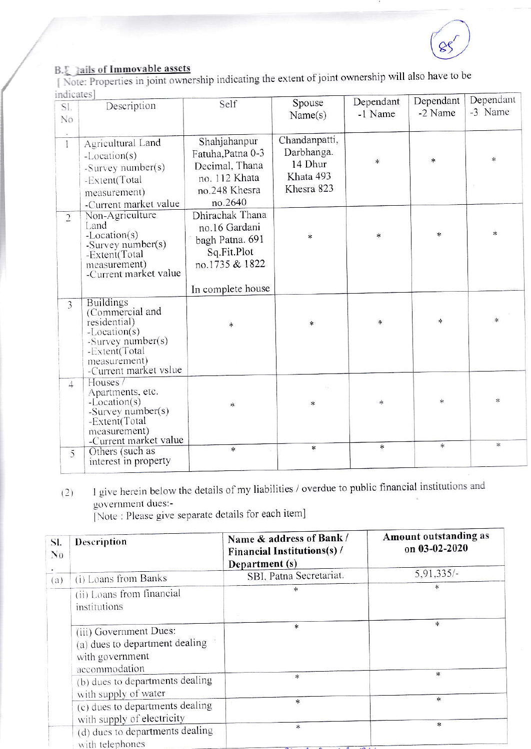

B. ails of Immovable assets<br>[Note: Properties in joint ownership indicating the extent of joint ownership will also have to be indicates1

| <b>HUILGIL</b> |                                    |                   |               | Dependant | Dependant | Dependant |
|----------------|------------------------------------|-------------------|---------------|-----------|-----------|-----------|
| Sl.            | Description                        | Self              | Spouse        | -1 Name   | -2 Name   | -3 Name   |
| No             |                                    |                   | Name(s)       |           |           |           |
|                |                                    |                   |               |           |           |           |
|                | Agricultural Land                  | Shahjahanpur      | Chandanpatti, |           |           |           |
|                | -Location(s)                       | Fatuha, Patna 0-3 | Darbhanga.    |           |           |           |
|                | -Survey number(s)                  | Decimal, Thana    | 14 Dhur       | *         | *         | 永         |
|                |                                    | no. 112 Khata     | Khata 493     |           |           |           |
|                | -Extent(Total                      |                   | Khesra 823    |           |           |           |
|                | measurement)                       | no.248 Khesra     |               |           |           |           |
|                | -Current market value              | no.2640           |               |           |           |           |
| $\overline{2}$ | Non-Agriculture                    | Dhirachak Thana   |               |           |           |           |
|                | Land                               | no.16 Gardani     |               |           |           |           |
|                | $-Location(s)$                     | bagh Patna. 691   | $\ast$        | $\ast$    | $\ast$    | $\ast$    |
|                | -Survey number(s)<br>-Extent(Total | Sq.Fit.Plot       |               |           |           |           |
|                | measurement)                       | no.1735 & 1822    |               |           |           |           |
|                | -Current market value              |                   |               |           |           |           |
|                |                                    |                   |               |           |           |           |
|                |                                    | In complete house |               |           |           |           |
| 3              | <b>Buildings</b>                   |                   |               |           |           |           |
|                | (Commercial and                    |                   |               |           |           | ×.        |
|                | residential)                       | $\ast$            | *             | $\ast$    | *         |           |
|                | $-Location(s)$                     |                   |               |           |           |           |
|                | -Survey number(s)<br>-Extent(Total |                   |               |           |           |           |
|                | measurement)                       |                   |               |           |           |           |
|                | -Current market vslue              |                   |               |           |           |           |
| $4^{\circ}$    | Houses /                           |                   |               |           |           |           |
|                | Apartments, etc.                   |                   |               |           |           |           |
|                | $-Location(s)$                     | *                 | $\ast$        | $\ast$    | $\ast$    | $\ast$    |
|                | -Survey number(s)                  |                   |               |           |           |           |
|                | -Extent(Total                      |                   |               |           |           |           |
|                | measurement)                       |                   |               |           |           |           |
|                | -Current market value              | $\ast$            | $\ast$        | $\ast$    | $\ast$    | ÷         |
| 5              | Others (such as                    |                   |               |           |           |           |
|                | interest in property               |                   |               |           |           |           |

I give herein below the details of my liabilities / overdue to public financial institutions and  $(2)$ government dues:-

[Note: Please give separate details for each item]

| SI.<br>N <sub>0</sub> | Description                                                                                  | Name & address of Bank /<br>Financial Institutions(s) /<br>Department (s)                              | Amount outstanding as<br>on 03-02-2020 |
|-----------------------|----------------------------------------------------------------------------------------------|--------------------------------------------------------------------------------------------------------|----------------------------------------|
| (a)                   | (i) Loans from Banks                                                                         | SBI, Patna Secretariat.                                                                                | $5,91,335/-$                           |
|                       | (ii) Loans from financial<br>institutions                                                    |                                                                                                        | *                                      |
|                       | (iii) Government Dues:<br>(a) dues to department dealing<br>with government<br>accommodation | $\ast$                                                                                                 | $*$                                    |
|                       | (b) dues to departments dealing<br>with supply of water                                      | $\ast$                                                                                                 | $\ast$                                 |
|                       | (c) dues to departments dealing<br>with supply of electricity                                | $\ast$                                                                                                 | $*$                                    |
|                       | (d) dues to departments dealing<br>with telephones                                           | $\ast$<br>$\mathbf{A}$ $\mathbf{A}$ $\mathbf{A}$ $\mathbf{A}$ $\mathbf{A}$<br>$\overline{\phantom{a}}$ | $\ast$                                 |